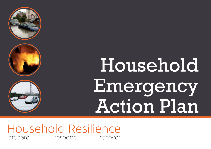





# Household Emergency Action Plan

Household Resilience prepare respond recover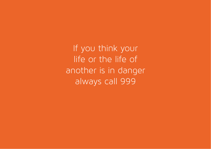If you think your life or the life of another is in danger always call 999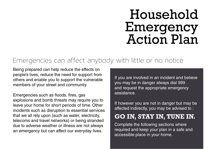# Household Emergency Action Plan

#### Emergencies can affect anybody with little or no notice

Being prepared can help reduce the effects on people's lives, reduce the need for support from others and enable you to support the vulnerable members of your street and community.

Emergencies such as floods, fires, gas explosions and bomb threats may require you to leave your home for short periods of time. Other incidents such as disruption to essential services that we all rely upon (such as water, electricity, telecoms and travel networks) or being stranded due to adverse weather or illness are not always an emergency but can affect our everyday lives.

If you are involved in an incident and believe you may be in danger always dial 999 and request the appropriate emergency assistance.

If however you are not in danger but may be affected indirectly, you may be advised to :

#### **GO IN, STAY IN, TUNE IN.**

Complete the following sections where required and keep your plan in a safe and accessible place in your home.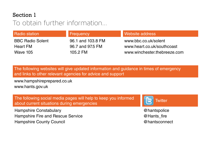#### Section 1

#### To obtain further information...

| <b>Radio station</b>    | <b>Frequency</b>  | Website address              |
|-------------------------|-------------------|------------------------------|
| <b>BBC Radio Solent</b> | 96.1 and 103.8 FM | www.bbc.co.uk/solent         |
| <b>Heart FM</b>         | 96.7 and 97.5 FM  | www.heart.co.uk/southcoast   |
| <b>Wave 105</b>         | 105.2 FM          | www.winchester.thebreeze.com |

The following websites will give updated information and guidance in times of emergency and links to other relevant agencies for advice and support

www.hampshireprepared.co.uk www.hants.gov.uk

The following social media pages will help to keep you informed about current situations during emergencies

Hampshire Constabulary **Example 20** hantspolice **and the Constabulary and the Constabulary and the Constabulary** Hampshire Fire and Rescue Service **Example 2** Hants fire Hampshire County Council **Accord Entity Council** and the extent of the extent of the extent of the extent of the extent of the extent of the extent of the extent of the extent of the extent of the extent of the extent of t

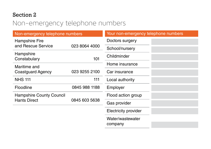#### Section 2

# Non-emergency telephone numbers

| Non-emergency telephone numbers                                         |                    | Your non-emergency telephone numbers |  |  |
|-------------------------------------------------------------------------|--------------------|--------------------------------------|--|--|
| <b>Hampshire Fire</b>                                                   |                    | Doctors surgery                      |  |  |
| and Rescue Service                                                      | 023 8064 4000      | School/nursery                       |  |  |
| Hampshire<br>Constabulary                                               | 101                | Childminder                          |  |  |
| Maritime and                                                            |                    | Home insurance                       |  |  |
| <b>Coastguard Agency</b>                                                | 023 9255 2100      | Car insurance                        |  |  |
| <b>NHS 111</b>                                                          | 111                | Local authority                      |  |  |
| Floodline                                                               | 0845 988 1188      | Employer                             |  |  |
| <b>Hampshire County Council</b><br><b>Hants Direct</b><br>0845 603 5638 | Flood action group |                                      |  |  |
|                                                                         |                    | Gas provider                         |  |  |
|                                                                         |                    | <b>Electricity provider</b>          |  |  |
|                                                                         |                    | Water/wastewater<br>company          |  |  |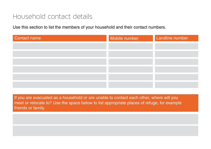#### Household contact details

Use this section to list the members of your household and their contact numbers.

| <b>Contact name</b> | Mobile number | Landline number |
|---------------------|---------------|-----------------|
|                     |               |                 |
|                     |               |                 |
|                     |               |                 |
|                     |               |                 |
|                     |               |                 |
|                     |               |                 |

If you are evacuated as a household or are unable to contact each other, where will you meet or relocate to? Use the space below to list appropriate places of refuge, for example friends or family.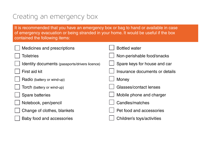# Creating an emergency box

It is recommended that you have an emergency box or bag to hand or available in case of emergency evacuation or being stranded in your home. It would be useful if the box contained the following items:

| Medicines and prescriptions                    | <b>Bottled water</b>           |
|------------------------------------------------|--------------------------------|
| <b>Toiletries</b>                              | Non-perishable food/snacks     |
| Identity documents (passports/drivers licence) | Spare keys for house and car   |
| First aid kit                                  | Insurance documents or details |
| Radio (battery or wind-up)                     | Money                          |
| Torch (battery or wind-up)                     | Glasses/contact lenses         |
| Spare batteries                                | Mobile phone and charger       |
| Notebook, pen/pencil                           | Candles/matches                |
| Change of clothes, blankets                    | Pet food and accessories       |
| Baby food and accessories                      | Children's toys/activities     |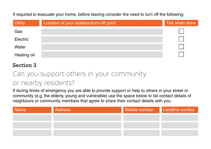If required to evacuate your home, before leaving consider the need to turn off the following:

| <b>Utility</b> | Location of your isolation/turn-off point | Tick when done |
|----------------|-------------------------------------------|----------------|
| Gas            |                                           |                |
| Electric       |                                           |                |
| Water          |                                           |                |
| Heating oil    |                                           |                |

#### Section 3

# Can you support others in your community or nearby residents?

If during times of emergency you are able to provide support or help to others in your street or community (e.g. the elderly, young and vulnerable) use the space below to list contact details of neighbours or community members that *agree to share* their contact details with you.

| Name | <b>Address</b> | Mobile number | Landline number |
|------|----------------|---------------|-----------------|
|      |                |               |                 |
|      |                |               |                 |
|      |                |               |                 |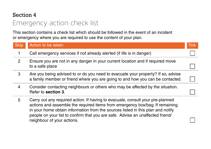#### Section 4

# Emergency action check list

This section contains a check list which should be followed in the event of an incident or emergency where you are required to use the content of your plan.

| <b>Skip</b>    | Action to be taken                                                                                                                                                                                                                                                                                                                                                | <b>Tick</b> |
|----------------|-------------------------------------------------------------------------------------------------------------------------------------------------------------------------------------------------------------------------------------------------------------------------------------------------------------------------------------------------------------------|-------------|
| 1              | Call emergency services if not already alerted (if life is in danger)                                                                                                                                                                                                                                                                                             |             |
| $\overline{2}$ | Ensure you are not in any danger in your current location and if required move<br>to a safe place                                                                                                                                                                                                                                                                 |             |
| 3              | Are you being advised to or do you need to evacuate your property? If so, advise<br>a family member or friend where you are going to and how you can be contacted.                                                                                                                                                                                                |             |
| 4              | Consider contacting neighbours or others who may be affected by the situation.<br>Refer to section 3.                                                                                                                                                                                                                                                             |             |
| 5              | Carry out any required action. If having to evacuate, consult your pre-planned<br>actions and assemble the required items from emergency box/bag. If remaining<br>in your home obtain information from the sources listed in this plan and notify<br>people on your list to confirm that you are safe. Advise an unaffected friend/<br>neighbour of your actions. |             |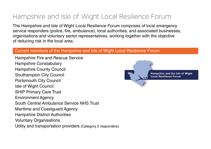# Hampshire and Isle of Wight Local Resilience Forum

The Hampshire and Isle of Wight Local Resilience Forum comprises of local emergency service responders (police, fire, ambulance), local authorities, and associated businesses, organisations and voluntary sector representatives, working together with the objective of reducing risk in the local area.

#### Current members of the Hampshire and Isle of Wight Local Resilience Forum

Hampshire Fire and Rescue Service Hampshire Constabulary Hampshire County Council Southampton City Council Portsmouth City Council Isle of Wight Council SHIP Primary Care Trust Environment Agency South Central Ambulance Service NHS Trust Maritime and Coastguard Agency Hampshire District Authorities Voluntary Organisations Utility and transportation providers (Category 2 responders)

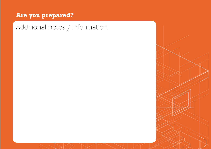#### **Are you prepared?**

Additional notes / information